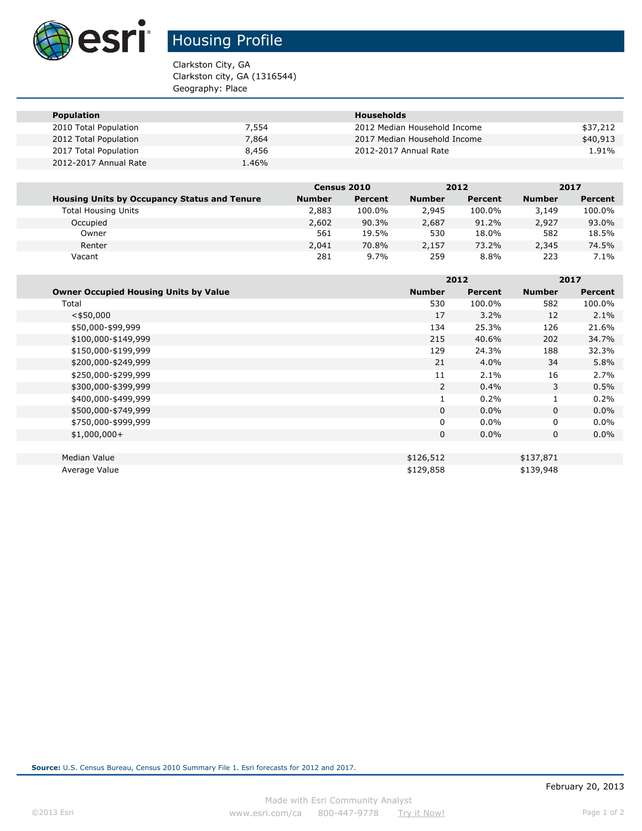

# Housing Profile

Clarkston City, GA Clarkston city, GA (1316544) Geography: Place

| <b>Population</b>     |       | <b>Households</b>            |          |
|-----------------------|-------|------------------------------|----------|
| 2010 Total Population | 7,554 | 2012 Median Household Income | \$37,212 |
| 2012 Total Population | 7,864 | 2017 Median Household Income | \$40,913 |
| 2017 Total Population | 8,456 | 2012-2017 Annual Rate        | 1.91%    |
| 2012-2017 Annual Rate | 1.46% |                              |          |

|                                                     |               | Census 2010    |               | 2012    |               | 2017    |
|-----------------------------------------------------|---------------|----------------|---------------|---------|---------------|---------|
| <b>Housing Units by Occupancy Status and Tenure</b> | <b>Number</b> | <b>Percent</b> | <b>Number</b> | Percent | <b>Number</b> | Percent |
| <b>Total Housing Units</b>                          | 2,883         | 100.0%         | 2,945         | 100.0%  | 3,149         | 100.0%  |
| Occupied                                            | 2,602         | 90.3%          | 2,687         | 91.2%   | 2,927         | 93.0%   |
| Owner                                               | 561           | 19.5%          | 530           | 18.0%   | 582           | 18.5%   |
| Renter                                              | 2,041         | 70.8%          | 2,157         | 73.2%   | 2,345         | 74.5%   |
| Vacant                                              | 281           | 9.7%           | 259           | 8.8%    | 223           | $7.1\%$ |

|                                              |               | 2012    |               | 2017           |  |
|----------------------------------------------|---------------|---------|---------------|----------------|--|
| <b>Owner Occupied Housing Units by Value</b> | <b>Number</b> | Percent | <b>Number</b> | <b>Percent</b> |  |
| Total                                        | 530           | 100.0%  | 582           | 100.0%         |  |
| $<$ \$50,000                                 | 17            | 3.2%    | 12            | 2.1%           |  |
| \$50,000-\$99,999                            | 134           | 25.3%   | 126           | 21.6%          |  |
| \$100,000-\$149,999                          | 215           | 40.6%   | 202           | 34.7%          |  |
| \$150,000-\$199,999                          | 129           | 24.3%   | 188           | 32.3%          |  |
| \$200,000-\$249,999                          | 21            | 4.0%    | 34            | 5.8%           |  |
| \$250,000-\$299,999                          | 11            | 2.1%    | 16            | 2.7%           |  |
| \$300,000-\$399,999                          | 2             | 0.4%    | 3             | 0.5%           |  |
| \$400,000-\$499,999                          | $\mathbf{1}$  | 0.2%    | 1             | 0.2%           |  |
| \$500,000-\$749,999                          | 0             | $0.0\%$ | 0             | $0.0\%$        |  |
| \$750,000-\$999,999                          | 0             | $0.0\%$ | $\mathbf{0}$  | $0.0\%$        |  |
| $$1,000,000+$                                | 0             | $0.0\%$ | 0             | $0.0\%$        |  |
|                                              |               |         |               |                |  |
| Median Value                                 | \$126,512     |         | \$137,871     |                |  |
| Average Value                                | \$129,858     |         | \$139,948     |                |  |

**Source:** U.S. Census Bureau, Census 2010 Summary File 1. Esri forecasts for 2012 and 2017.